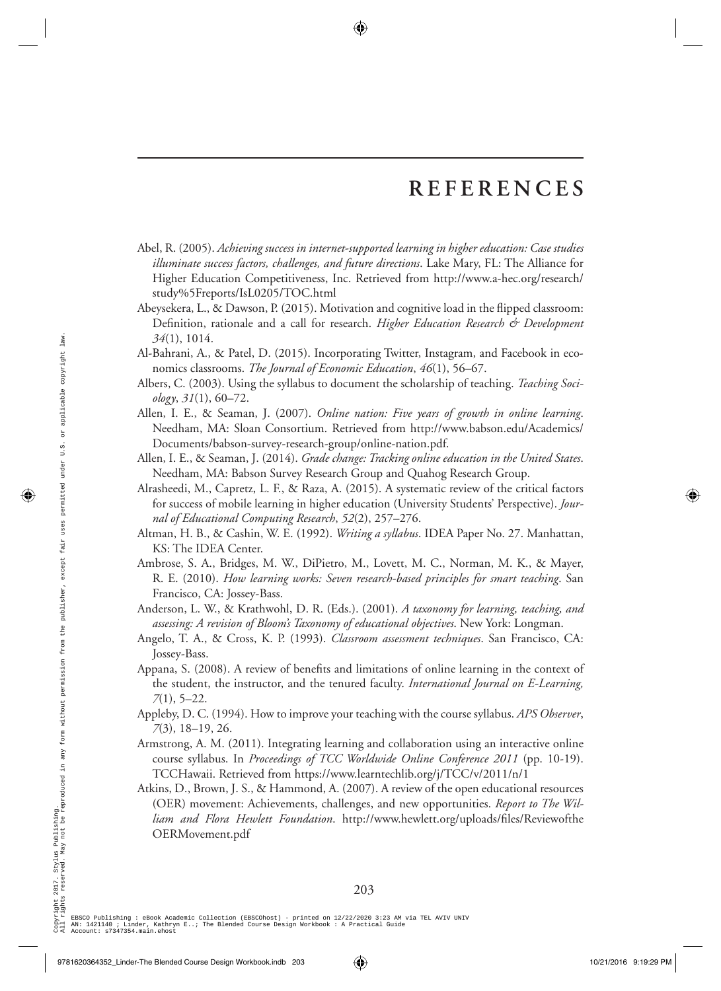## **REFERENCES**

- Abel, R. (2005). *Achieving success in internet-supported learning in higher education: Case studies illuminate success factors, challenges, and future directions*. Lake Mary, FL: The Alliance for Higher Education Competitiveness, Inc. Retrieved from http://www.a-hec.org/research/ study%5Freports/IsL0205/TOC.html
- Abeysekera, L., & Dawson, P. (2015). Motivation and cognitive load in the flipped classroom: Definition, rationale and a call for research. *Higher Education Research & Development 34*(1), 1014.
- Al-Bahrani, A., & Patel, D. (2015). Incorporating Twitter, Instagram, and Facebook in economics classrooms. *The Journal of Economic Education*, *46*(1), 56–67.
- Albers, C. (2003). Using the syllabus to document the scholarship of teaching. *Teaching Sociology*, *31*(1), 60–72.
- Allen, I. E., & Seaman, J. (2007). *Online nation: Five years of growth in online learning*. Needham, MA: Sloan Consortium. Retrieved from http://www.babson.edu/Academics/ Documents/babson-survey-research-group/online-nation.pdf.
- Allen, I. E., & Seaman, J. (2014). *Grade change: Tracking online education in the United States*. Needham, MA: Babson Survey Research Group and Quahog Research Group.
- Alrasheedi, M., Capretz, L. F., & Raza, A. (2015). A systematic review of the critical factors for success of mobile learning in higher education (University Students' Perspective). *Journal of Educational Computing Research*, *52*(2), 257–276.
- Altman, H. B., & Cashin, W. E. (1992). *Writing a syllabus*. IDEA Paper No. 27. Manhattan, KS: The IDEA Center.
- Ambrose, S. A., Bridges, M. W., DiPietro, M., Lovett, M. C., Norman, M. K., & Mayer, R. E. (2010). *How learning works: Seven research-based principles for smart teaching*. San Francisco, CA: Jossey-Bass.
- Anderson, L. W., & Krathwohl, D. R. (Eds.). (2001). *A taxonomy for learning, teaching, and assessing: A revision of Bloom's Taxonomy of educational objectives*. New York: Longman.
- Angelo, T. A., & Cross, K. P. (1993). *Classroom assessment techniques*. San Francisco, CA: Jossey-Bass.
- Appana, S. (2008). A review of benefits and limitations of online learning in the context of the student, the instructor, and the tenured faculty. *International Journal on E-Learning, 7*(1), 5–22.
- Appleby, D. C. (1994). How to improve your teaching with the course syllabus. *APS Observer*, *7*(3), 18–19, 26.
- Armstrong, A. M. (2011). Integrating learning and collaboration using an interactive online course syllabus. In *Proceedings of TCC Worldwide Online Conference 2011* (pp. 10-19). TCCHawaii. Retrieved from https://www.learntechlib.org/j/TCC/v/2011/n/1
- Atkins, D., Brown, J. S., & Hammond, A. (2007). A review of the open educational resources (OER) movement: Achievements, challenges, and new opportunities. *Report to The Wil*liam and Flora Hewlett Foundation. http://www.hewlett.org/uploads/files/Reviewofthe OERMovement.pdf 3 (Al-Bahnai, A, R. Pael, D. (2013). Incorporating Twitter, Instagram, and Fuerbook in economic Momento changes are the state of Fitch (Section 2013). All the Section of the Section 16 (All 156 (C) and the state of the st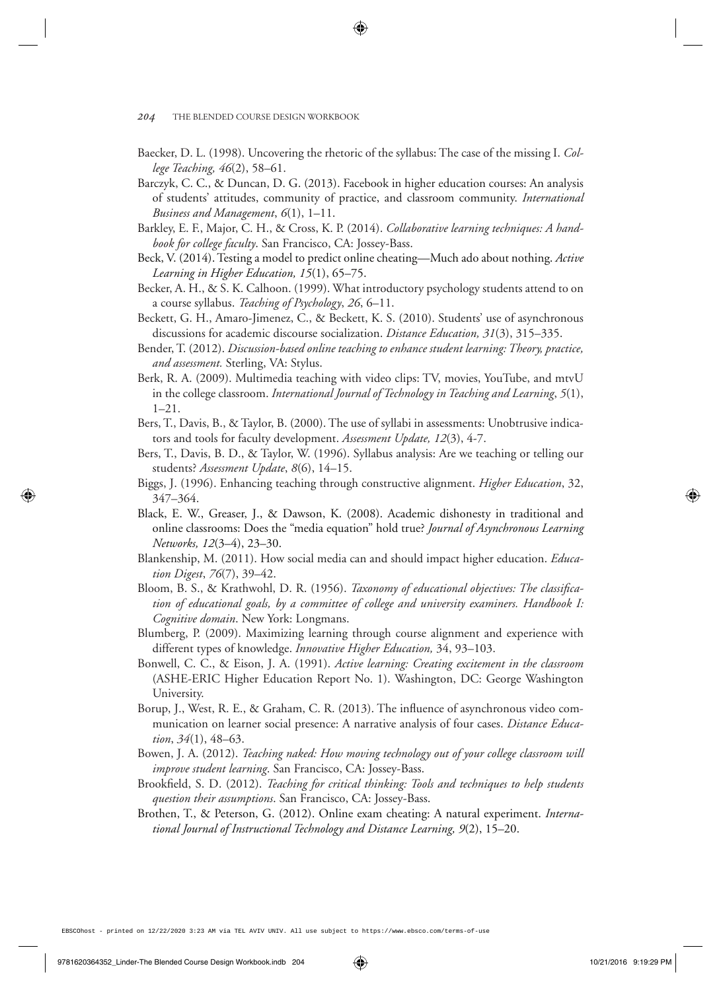- Baecker, D. L. (1998). Uncovering the rhetoric of the syllabus: The case of the missing I. *College Teaching, 46*(2), 58–61.
- Barczyk, C. C., & Duncan, D. G. (2013). Facebook in higher education courses: An analysis of students' attitudes, community of practice, and classroom community. *International Business and Management*, *6*(1), 1–11.
- Barkley, E. F., Major, C. H., & Cross, K. P. (2014). *Collaborative learning techniques: A handbook for college faculty*. San Francisco, CA: Jossey-Bass.
- Beck, V. (2014). Testing a model to predict online cheating—Much ado about nothing. *Active Learning in Higher Education, 15*(1), 65–75.
- Becker, A. H., & S. K. Calhoon. (1999). What introductory psychology students attend to on a course syllabus. *Teaching of Psychology*, *26*, 6–11.
- Beckett, G. H., Amaro-Jimenez, C., & Beckett, K. S. (2010). Students' use of asynchronous discussions for academic discourse socialization. *Distance Education, 31*(3), 315–335.
- Bender, T. (2012). *Discussion-based online teaching to enhance student learning: Theory, practice, and assessment.* Sterling, VA: Stylus.
- Berk, R. A. (2009). Multimedia teaching with video clips: TV, movies, YouTube, and mtvU in the college classroom. *International Journal of Technology in Teaching and Learning*, *5*(1), 1–21.
- Bers, T., Davis, B., & Taylor, B. (2000). The use of syllabi in assessments: Unobtrusive indicators and tools for faculty development. *Assessment Update, 12*(3), 4-7.
- Bers, T., Davis, B. D., & Taylor, W. (1996). Syllabus analysis: Are we teaching or telling our students? *Assessment Update*, *8*(6), 14–15.
- Biggs, J. (1996). Enhancing teaching through constructive alignment. *Higher Education*, 32, 347–364.
- Black, E. W., Greaser, J., & Dawson, K. (2008). Academic dishonesty in traditional and online classrooms: Does the "media equation" hold true? *Journal of Asynchronous Learning Networks, 12*(3–4), 23–30.
- Blankenship, M. (2011). How social media can and should impact higher education. *Education Digest*, *76*(7), 39–42.
- Bloom, B. S., & Krathwohl, D. R. (1956). *Taxonomy of educational objectives: The classification of educational goals, by a committee of college and university examiners. Handbook I: Cognitive domain*. New York: Longmans.
- Blumberg, P. (2009). Maximizing learning through course alignment and experience with different types of knowledge. *Innovative Higher Education,* 34, 93–103.
- Bonwell, C. C., & Eison, J. A. (1991). *Active learning: Creating excitement in the classroom* (ASHE-ERIC Higher Education Report No. 1). Washington, DC: George Washington University.
- Borup, J., West, R. E., & Graham, C. R. (2013). The influence of asynchronous video communication on learner social presence: A narrative analysis of four cases. *Distance Education*, *34*(1), 48–63.
- Bowen, J. A. (2012). *Teaching naked: How moving technology out of your college classroom will improve student learning*. San Francisco, CA: Jossey-Bass.
- Brookfield, S. D. (2012). *Teaching for critical thinking: Tools and techniques to help students question their assumptions*. San Francisco, CA: Jossey-Bass.
- Brothen, T., & Peterson, G. (2012). Online exam cheating: A natural experiment. *International Journal of Instructional Technology and Distance Learning, 9*(2), 15–20.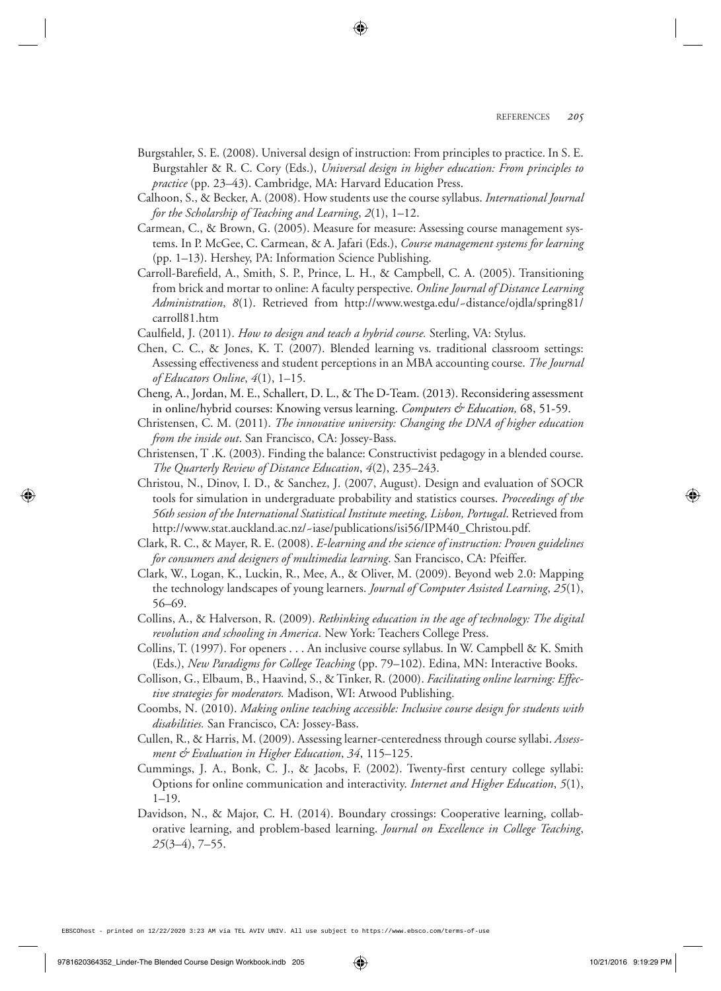- Burgstahler, S. E. (2008). Universal design of instruction: From principles to practice. In S. E. Burgstahler & R. C. Cory (Eds.), *Universal design in higher education: From principles to practice* (pp. 23–43). Cambridge, MA: Harvard Education Press.
- Calhoon, S., & Becker, A. (2008). How students use the course syllabus. *International Journal for the Scholarship of Teaching and Learning*, *2*(1), 1–12.
- Carmean, C., & Brown, G. (2005). Measure for measure: Assessing course management systems. In P. McGee, C. Carmean, & A. Jafari (Eds.), *Course management systems for learning*  (pp. 1–13). Hershey, PA: Information Science Publishing.
- Carroll-Barefield, A., Smith, S. P., Prince, L. H., & Campbell, C. A. (2005). Transitioning from brick and mortar to online: A faculty perspective. *Online Journal of Distance Learning Administration*, *8*(1). Retrieved from http://www.westga.edu/~distance/ojdla/spring81/ carroll81.htm
- Caulfield, J. (2011). *How to design and teach a hybrid course*. Sterling, VA: Stylus.
- Chen, C. C., & Jones, K. T. (2007). Blended learning vs. traditional classroom settings: Assessing effectiveness and student perceptions in an MBA accounting course. *The Journal of Educators Online*, *4*(1), 1–15.
- Cheng, A., Jordan, M. E., Schallert, D. L., & The D-Team. (2013). Reconsidering assessment in online/hybrid courses: Knowing versus learning. *Computers & Education,* 68, 51-59.
- Christensen, C. M. (2011). *The innovative university: Changing the DNA of higher education from the inside out*. San Francisco, CA: Jossey-Bass.
- Christensen, T .K. (2003). Finding the balance: Constructivist pedagogy in a blended course. *The Quarterly Review of Distance Education*, *4*(2), 235–243.
- Christou, N., Dinov, I. D., & Sanchez, J. (2007, August). Design and evaluation of SOCR tools for simulation in undergraduate probability and statistics courses. *Proceedings of the 56th session of the International Statistical Institute meeting, Lisbon, Portugal*. Retrieved from http://www.stat.auckland.ac.nz/~iase/publications/isi56/IPM40\_Christou.pdf.
- Clark, R. C., & Mayer, R. E. (2008). *E-learning and the science of instruction: Proven guidelines for consumers and designers of multimedia learning*. San Francisco, CA: Pfeiffer.
- Clark, W., Logan, K., Luckin, R., Mee, A., & Oliver, M. (2009). Beyond web 2.0: Mapping the technology landscapes of young learners. *Journal of Computer Assisted Learning*, *25*(1), 56–69.
- Collins, A., & Halverson, R. (2009). *Rethinking education in the age of technology: The digital revolution and schooling in America*. New York: Teachers College Press.
- Collins, T. (1997). For openers . . . An inclusive course syllabus. In W. Campbell & K. Smith (Eds.), *New Paradigms for College Teaching* (pp. 79–102). Edina, MN: Interactive Books.
- Collison, G., Elbaum, B., Haavind, S., & Tinker, R. (2000). *Facilitating online learning: Effective strategies for moderators.* Madison, WI: Atwood Publishing.
- Coombs, N. (2010). *Making online teaching accessible: Inclusive course design for students with disabilities.* San Francisco, CA: Jossey-Bass.
- Cullen, R., & Harris, M. (2009). Assessing learner-centeredness through course syllabi. *Assessment & Evaluation in Higher Education*, *34*, 115–125.
- Cummings, J. A., Bonk, C. J., & Jacobs, F. (2002). Twenty-first century college syllabi: Options for online communication and interactivity. *Internet and Higher Education*, *5*(1), 1–19.
- Davidson, N., & Major, C. H. (2014). Boundary crossings: Cooperative learning, collaborative learning, and problem-based learning. *Journal on Excellence in College Teaching*, *25*(3–4), 7–55.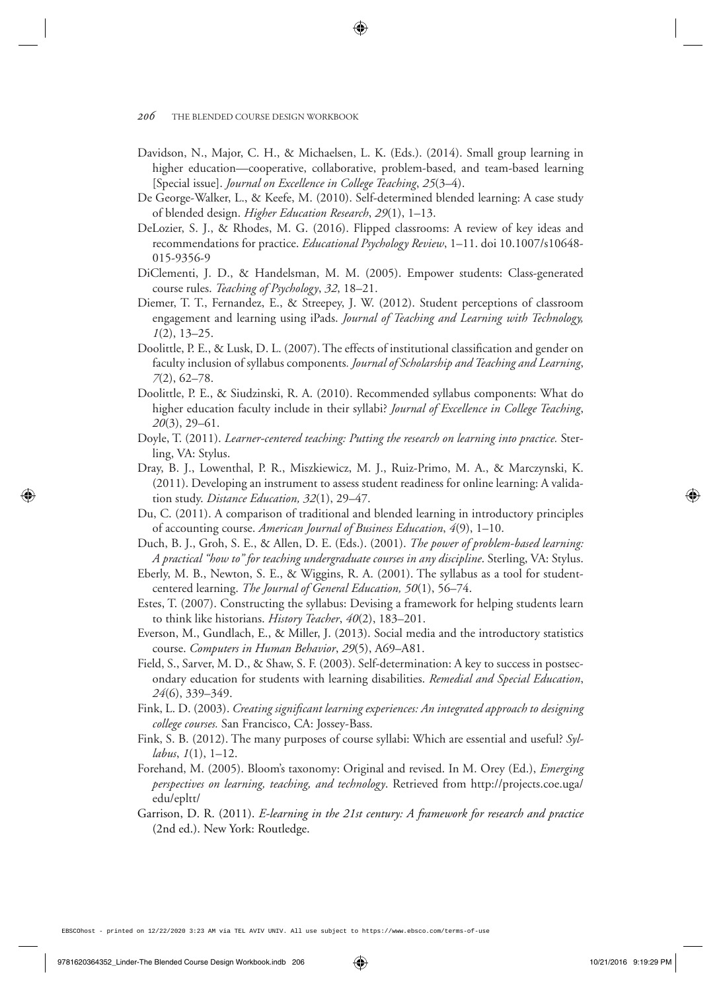- Davidson, N., Major, C. H., & Michaelsen, L. K. (Eds.). (2014). Small group learning in higher education—cooperative, collaborative, problem-based, and team-based learning [Special issue]. *Journal on Excellence in College Teaching*, *25*(3–4).
- De George-Walker, L., & Keefe, M. (2010). Self-determined blended learning: A case study of blended design. *Higher Education Research*, *29*(1), 1–13.
- DeLozier, S. J., & Rhodes, M. G. (2016). Flipped classrooms: A review of key ideas and recommendations for practice. *Educational Psychology Review*, 1–11. doi 10.1007/s10648- 015-9356-9
- DiClementi, J. D., & Handelsman, M. M. (2005). Empower students: Class-generated course rules. *Teaching of Psychology*, *32*, 18–21.
- Diemer, T. T., Fernandez, E., & Streepey, J. W. (2012). Student perceptions of classroom engagement and learning using iPads. *Journal of Teaching and Learning with Technology, 1*(2), 13–25.
- Doolittle, P. E., & Lusk, D. L. (2007). The effects of institutional classification and gender on faculty inclusion of syllabus components*. Journal of Scholarship and Teaching and Learning*, *7*(2), 62–78.
- Doolittle, P. E., & Siudzinski, R. A. (2010). Recommended syllabus components: What do higher education faculty include in their syllabi? *Journal of Excellence in College Teaching*, *20*(3), 29–61.
- Doyle, T. (2011). *Learner-centered teaching: Putting the research on learning into practice.* Sterling, VA: Stylus.
- Dray, B. J., Lowenthal, P. R., Miszkiewicz, M. J., Ruiz-Primo, M. A., & Marczynski, K. (2011). Developing an instrument to assess student readiness for online learning: A validation study. *Distance Education, 32*(1), 29–47.
- Du, C. (2011). A comparison of traditional and blended learning in introductory principles of accounting course. *American Journal of Business Education*, *4*(9), 1–10.
- Duch, B. J., Groh, S. E., & Allen, D. E. (Eds.). (2001). *The power of problem-based learning: A practical "how to" for teaching undergraduate courses in any discipline*. Sterling, VA: Stylus.
- Eberly, M. B., Newton, S. E., & Wiggins, R. A. (2001). The syllabus as a tool for studentcentered learning. *The Journal of General Education, 50*(1), 56–74.
- Estes, T. (2007). Constructing the syllabus: Devising a framework for helping students learn to think like historians. *History Teacher*, *40*(2), 183–201.
- Everson, M., Gundlach, E., & Miller, J. (2013). Social media and the introductory statistics course. *Computers in Human Behavior*, *29*(5), A69–A81.
- Field, S., Sarver, M. D., & Shaw, S. F. (2003). Self-determination: A key to success in postsecondary education for students with learning disabilities. *Remedial and Special Education*, *24*(6), 339–349.
- Fink, L. D. (2003). *Creating significant learning experiences: An integrated approach to designing college courses.* San Francisco, CA: Jossey-Bass.
- Fink, S. B. (2012). The many purposes of course syllabi: Which are essential and useful? *Syllabus*, *1*(1), 1–12.
- Forehand, M. (2005). Bloom's taxonomy: Original and revised. In M. Orey (Ed.), *Emerging perspectives on learning, teaching, and technology*. Retrieved from http://projects.coe.uga/ edu/epltt/
- Garrison, D. R. (2011). *E-learning in the 21st century: A framework for research and practice* (2nd ed.). New York: Routledge.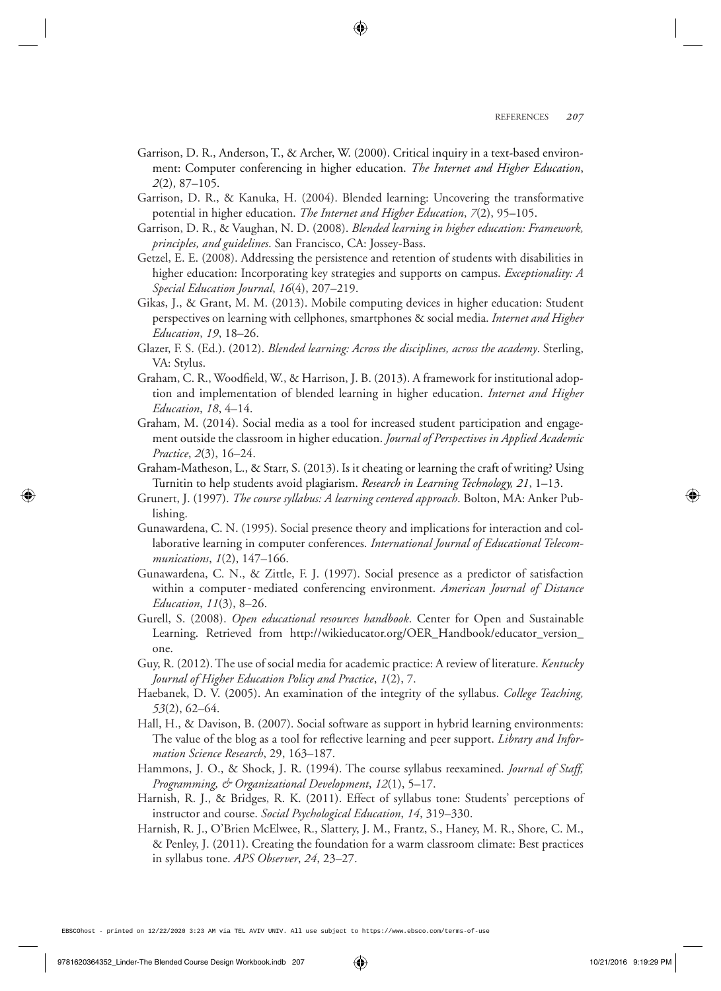- Garrison, D. R., Anderson, T., & Archer, W. (2000). Critical inquiry in a text-based environment: Computer conferencing in higher education. *The Internet and Higher Education*, *2*(2), 87–105.
- Garrison, D. R., & Kanuka, H. (2004). Blended learning: Uncovering the transformative potential in higher education. *The Internet and Higher Education*, *7*(2), 95–105.
- Garrison, D. R., & Vaughan, N. D. (2008). *Blended learning in higher education: Framework, principles, and guidelines*. San Francisco, CA: Jossey-Bass.
- Getzel, E. E. (2008). Addressing the persistence and retention of students with disabilities in higher education: Incorporating key strategies and supports on campus. *Exceptionality: A Special Education Journal*, *16*(4), 207–219.
- Gikas, J., & Grant, M. M. (2013). Mobile computing devices in higher education: Student perspectives on learning with cellphones, smartphones & social media. *Internet and Higher Education*, *19*, 18–26.
- Glazer, F. S. (Ed.). (2012). *Blended learning: Across the disciplines, across the academy*. Sterling, VA: Stylus.
- Graham, C. R., Woodfield, W., & Harrison, J. B. (2013). A framework for institutional adoption and implementation of blended learning in higher education. *Internet and Higher Education*, *18*, 4–14.
- Graham, M. (2014). Social media as a tool for increased student participation and engagement outside the classroom in higher education. *Journal of Perspectives in Applied Academic Practice*, *2*(3), 16–24.
- Graham-Matheson, L., & Starr, S. (2013). Is it cheating or learning the craft of writing? Using Turnitin to help students avoid plagiarism. *Research in Learning Technology, 21*, 1–13.
- Grunert, J. (1997). *The course syllabus: A learning centered approach*. Bolton, MA: Anker Publishing.
- Gunawardena, C. N. (1995). Social presence theory and implications for interaction and collaborative learning in computer conferences. *International Journal of Educational Telecommunications*, *1*(2), 147–166.
- Gunawardena, C. N., & Zittle, F. J. (1997). Social presence as a predictor of satisfaction within a computer‐mediated conferencing environment. *American Journal of Distance Education*, *11*(3), 8–26.
- Gurell, S. (2008). *Open educational resources handbook*. Center for Open and Sustainable Learning. Retrieved from http://wikieducator.org/OER\_Handbook/educator\_version\_ one.
- Guy, R. (2012). The use of social media for academic practice: A review of literature. *Kentucky Journal of Higher Education Policy and Practice*, *1*(2), 7.
- Haebanek, D. V. (2005). An examination of the integrity of the syllabus. *College Teaching, 53*(2), 62–64.
- Hall, H., & Davison, B. (2007). Social software as support in hybrid learning environments: The value of the blog as a tool for reflective learning and peer support. *Library and Information Science Research*, 29, 163–187.
- Hammons, J. O., & Shock, J. R. (1994). The course syllabus reexamined. *Journal of Staff, Programming, & Organizational Development*, *12*(1), 5–17.
- Harnish, R. J., & Bridges, R. K. (2011). Effect of syllabus tone: Students' perceptions of instructor and course. *Social Psychological Education*, *14*, 319–330.
- Harnish, R. J., O'Brien McElwee, R., Slattery, J. M., Frantz, S., Haney, M. R., Shore, C. M., & Penley, J. (2011). Creating the foundation for a warm classroom climate: Best practices in syllabus tone. *APS Observer*, *24*, 23–27.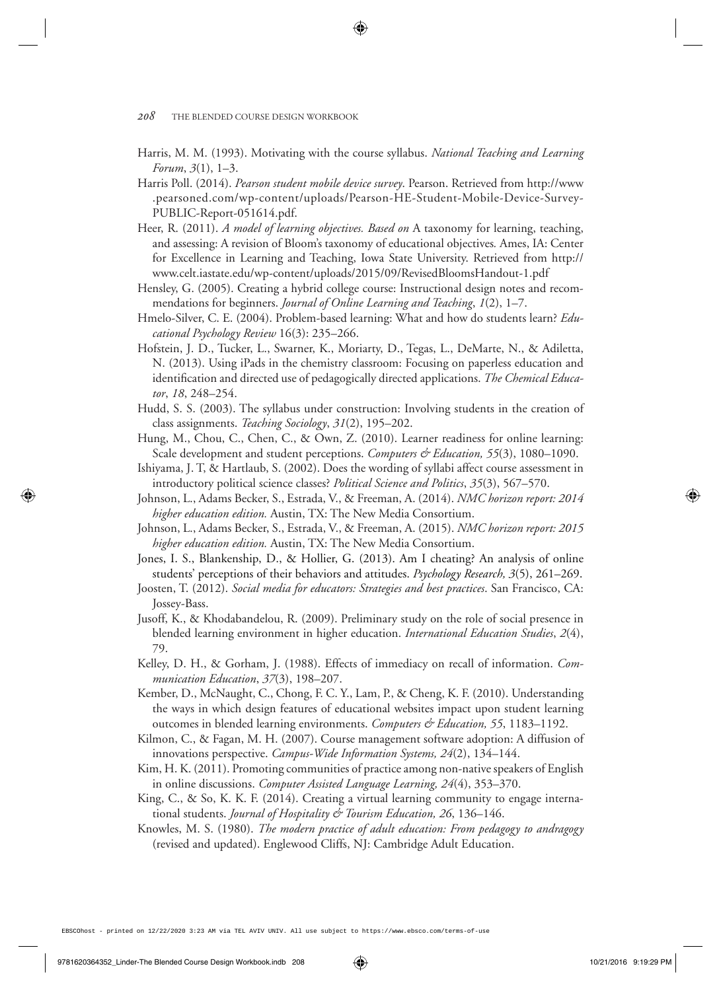- Harris, M. M. (1993). Motivating with the course syllabus. *National Teaching and Learning Forum*, *3*(1), 1–3.
- Harris Poll. (2014). *Pearson student mobile device survey*. Pearson. Retrieved from http://www .pearsoned.com/wp-content/uploads/Pearson-HE-Student-Mobile-Device-Survey-PUBLIC-Report-051614.pdf.
- Heer, R. (2011). *A model of learning objectives. Based on* A taxonomy for learning, teaching, and assessing: A revision of Bloom's taxonomy of educational objectives*.* Ames, IA: Center for Excellence in Learning and Teaching, Iowa State University. Retrieved from http:// www.celt.iastate.edu/wp-content/uploads/2015/09/RevisedBloomsHandout-1.pdf
- Hensley, G. (2005). Creating a hybrid college course: Instructional design notes and recommendations for beginners. *Journal of Online Learning and Teaching*, *1*(2), 1–7.
- Hmelo-Silver, C. E. (2004). Problem-based learning: What and how do students learn? *Educational Psychology Review* 16(3): 235–266.
- Hofstein, J. D., Tucker, L., Swarner, K., Moriarty, D., Tegas, L., DeMarte, N., & Adiletta, N. (2013). Using iPads in the chemistry classroom: Focusing on paperless education and identification and directed use of pedagogically directed applications. *The Chemical Educator*, *18*, 248–254.
- Hudd, S. S. (2003). The syllabus under construction: Involving students in the creation of class assignments. *Teaching Sociology*, *31*(2), 195–202.
- Hung, M., Chou, C., Chen, C., & Own, Z. (2010). Learner readiness for online learning: Scale development and student perceptions. *Computers & Education*, 55(3), 1080–1090.
- Ishiyama, J. T, & Hartlaub, S. (2002). Does the wording of syllabi affect course assessment in introductory political science classes? *Political Science and Politics*, *35*(3), 567–570.
- Johnson, L., Adams Becker, S., Estrada, V., & Freeman, A. (2014). *NMC horizon report: 2014 higher education edition.* Austin, TX: The New Media Consortium.
- Johnson, L., Adams Becker, S., Estrada, V., & Freeman, A. (2015). *NMC horizon report: 2015 higher education edition.* Austin, TX: The New Media Consortium.
- Jones, I. S., Blankenship, D., & Hollier, G. (2013). Am I cheating? An analysis of online students' perceptions of their behaviors and attitudes. *Psychology Research, 3*(5), 261–269.
- Joosten, T. (2012). *Social media for educators: Strategies and best practices*. San Francisco, CA: Jossey-Bass.
- Jusoff, K., & Khodabandelou, R. (2009). Preliminary study on the role of social presence in blended learning environment in higher education. *International Education Studies*, *2*(4), 79.
- Kelley, D. H., & Gorham, J. (1988). Effects of immediacy on recall of information. *Communication Education*, *37*(3), 198–207.
- Kember, D., McNaught, C., Chong, F. C. Y., Lam, P., & Cheng, K. F. (2010). Understanding the ways in which design features of educational websites impact upon student learning outcomes in blended learning environments. *Computers & Education, 55*, 1183–1192.
- Kilmon, C., & Fagan, M. H. (2007). Course management software adoption: A diffusion of innovations perspective. *Campus-Wide Information Systems, 24*(2), 134–144.
- Kim, H. K. (2011). Promoting communities of practice among non-native speakers of English in online discussions. *Computer Assisted Language Learning, 24*(4), 353–370.
- King, C., & So, K. K. F. (2014). Creating a virtual learning community to engage international students. *Journal of Hospitality & Tourism Education, 26*, 136–146.
- Knowles, M. S. (1980). *The modern practice of adult education: From pedagogy to andragogy*  (revised and updated). Englewood Cliffs, NJ: Cambridge Adult Education.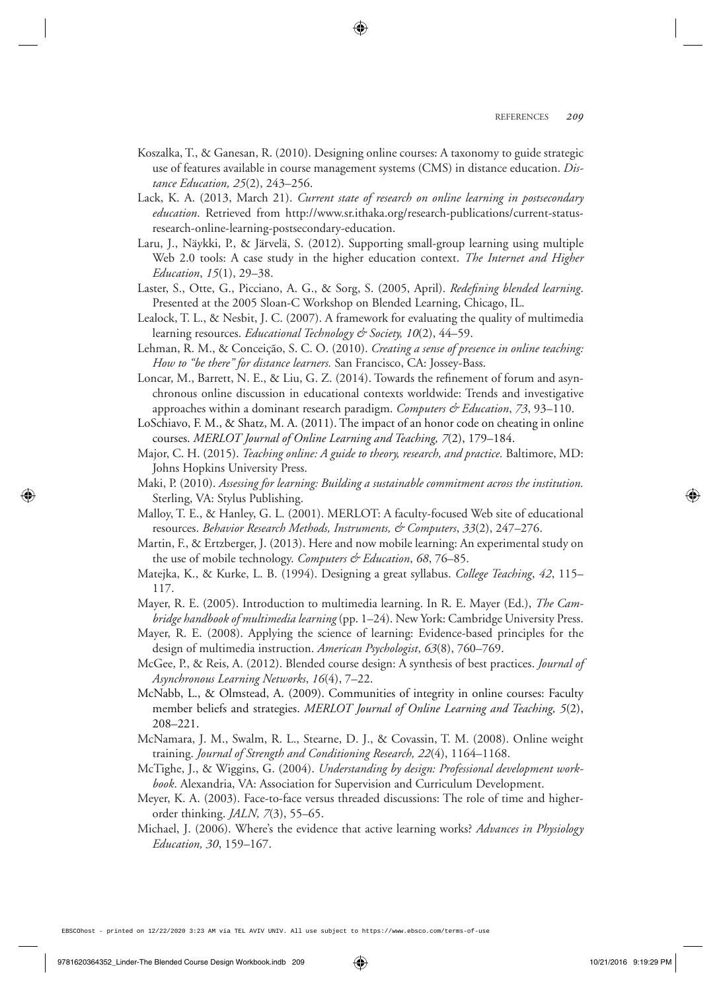- Koszalka, T., & Ganesan, R. (2010). Designing online courses: A taxonomy to guide strategic use of features available in course management systems (CMS) in distance education. *Distance Education, 25*(2), 243–256.
- Lack, K. A. (2013, March 21). *Current state of research on online learning in postsecondary education*. Retrieved from http://www.sr.ithaka.org/research-publications/current-statusresearch-online-learning-postsecondary-education.
- Laru, J., Näykki, P., & Järvelä, S. (2012). Supporting small-group learning using multiple Web 2.0 tools: A case study in the higher education context. *The Internet and Higher Education*, *15*(1), 29–38.
- Laster, S., Otte, G., Picciano, A. G., & Sorg, S. (2005, April). *Redefining blended learning*. Presented at the 2005 Sloan-C Workshop on Blended Learning, Chicago, IL.
- Lealock, T. L., & Nesbit, J. C. (2007). A framework for evaluating the quality of multimedia learning resources. *Educational Technology & Society, 10*(2), 44–59.
- Lehman, R. M., & Conceição, S. C. O. (2010). *Creating a sense of presence in online teaching: How to "be there" for distance learners.* San Francisco, CA: Jossey-Bass.
- Loncar, M., Barrett, N. E., & Liu, G. Z. (2014). Towards the refinement of forum and asynchronous online discussion in educational contexts worldwide: Trends and investigative approaches within a dominant research paradigm. *Computers & Education*, *73*, 93–110.
- LoSchiavo, F. M., & Shatz, M. A. (2011). The impact of an honor code on cheating in online courses. *MERLOT Journal of Online Learning and Teaching, 7*(2), 179–184.
- Major, C. H. (2015). *Teaching online: A guide to theory, research, and practice.* Baltimore, MD: Johns Hopkins University Press.
- Maki, P. (2010). *Assessing for learning: Building a sustainable commitment across the institution.* Sterling, VA: Stylus Publishing.
- Malloy, T. E., & Hanley, G. L. (2001). MERLOT: A faculty-focused Web site of educational resources. *Behavior Research Methods, Instruments, & Computers*, *33*(2), 247–276.
- Martin, F., & Ertzberger, J. (2013). Here and now mobile learning: An experimental study on the use of mobile technology. *Computers & Education*, *68*, 76–85.
- Matejka, K., & Kurke, L. B. (1994). Designing a great syllabus. *College Teaching*, *42*, 115– 117.
- Mayer, R. E. (2005). Introduction to multimedia learning. In R. E. Mayer (Ed.), *The Cambridge handbook of multimedia learning* (pp. 1–24). New York: Cambridge University Press.
- Mayer, R. E. (2008). Applying the science of learning: Evidence-based principles for the design of multimedia instruction. *American Psychologist*, *63*(8), 760–769.
- McGee, P., & Reis, A. (2012). Blended course design: A synthesis of best practices. *Journal of Asynchronous Learning Networks*, *16*(4), 7–22.
- McNabb, L., & Olmstead, A. (2009). Communities of integrity in online courses: Faculty member beliefs and strategies. *MERLOT Journal of Online Learning and Teaching, 5*(2), 208–221.
- McNamara, J. M., Swalm, R. L., Stearne, D. J., & Covassin, T. M. (2008). Online weight training. *Journal of Strength and Conditioning Research, 22*(4), 1164–1168.
- McTighe, J., & Wiggins, G. (2004). *Understanding by design: Professional development workbook*. Alexandria, VA: Association for Supervision and Curriculum Development.
- Meyer, K. A. (2003). Face-to-face versus threaded discussions: The role of time and higherorder thinking. *JALN, 7*(3), 55–65.
- Michael, J. (2006). Where's the evidence that active learning works? *Advances in Physiology Education, 30*, 159–167.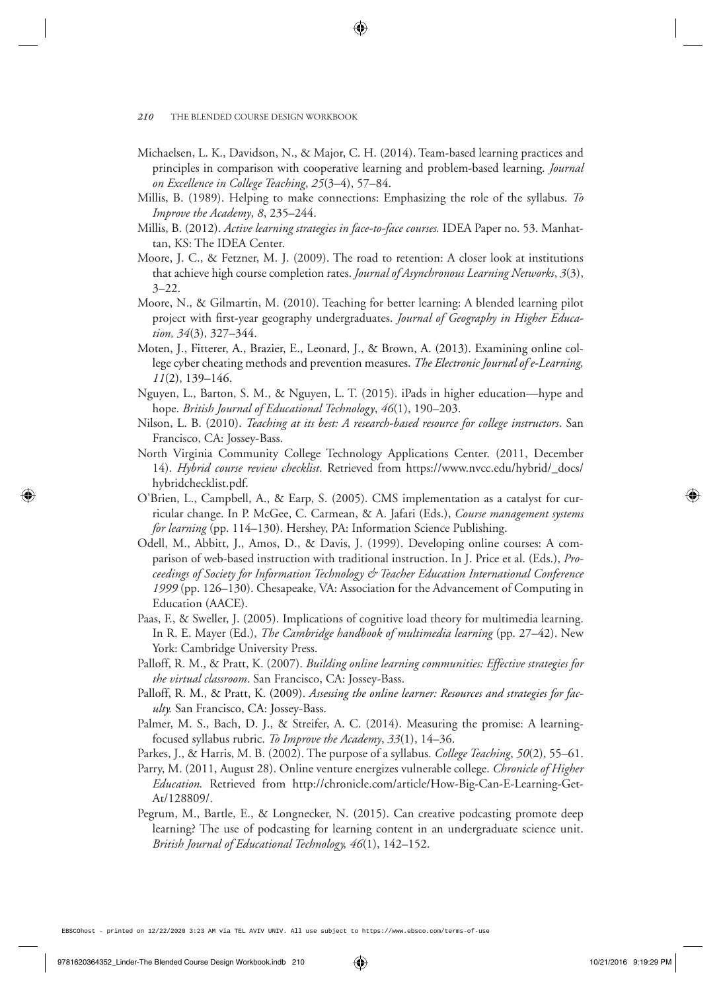- Michaelsen, L. K., Davidson, N., & Major, C. H. (2014). Team-based learning practices and principles in comparison with cooperative learning and problem-based learning. *Journal on Excellence in College Teaching*, *25*(3–4), 57–84.
- Millis, B. (1989). Helping to make connections: Emphasizing the role of the syllabus. *To Improve the Academy*, *8*, 235–244.
- Millis, B. (2012). *Active learning strategies in face-to-face courses.* IDEA Paper no. 53. Manhattan, KS: The IDEA Center.
- Moore, J. C., & Fetzner, M. J. (2009). The road to retention: A closer look at institutions that achieve high course completion rates. *Journal of Asynchronous Learning Networks*, *3*(3), 3–22.
- Moore, N., & Gilmartin, M. (2010). Teaching for better learning: A blended learning pilot project with first-year geography undergraduates. *Journal of Geography in Higher Education, 34*(3), 327–344.
- Moten, J., Fitterer, A., Brazier, E., Leonard, J., & Brown, A. (2013). Examining online college cyber cheating methods and prevention measures. *The Electronic Journal of e-Learning, 11*(2), 139–146.
- Nguyen, L., Barton, S. M., & Nguyen, L. T. (2015). iPads in higher education—hype and hope. *British Journal of Educational Technology*, *46*(1), 190–203.
- Nilson, L. B. (2010). *Teaching at its best: A research-based resource for college instructors*. San Francisco, CA: Jossey-Bass.
- North Virginia Community College Technology Applications Center. (2011, December 14). *Hybrid course review checklist*. Retrieved from https://www.nvcc.edu/hybrid/\_docs/ hybridchecklist.pdf.
- O'Brien, L., Campbell, A., & Earp, S. (2005). CMS implementation as a catalyst for curricular change. In P. McGee, C. Carmean, & A. Jafari (Eds.), *Course management systems for learning* (pp. 114–130). Hershey, PA: Information Science Publishing.
- Odell, M., Abbitt, J., Amos, D., & Davis, J. (1999). Developing online courses: A comparison of web-based instruction with traditional instruction. In J. Price et al. (Eds.), *Proceedings of Society for Information Technology & Teacher Education International Conference 1999* (pp. 126–130). Chesapeake, VA: Association for the Advancement of Computing in Education (AACE).
- Paas, F., & Sweller, J. (2005). Implications of cognitive load theory for multimedia learning. In R. E. Mayer (Ed.), *The Cambridge handbook of multimedia learning* (pp. 27–42). New York: Cambridge University Press.
- Palloff, R. M., & Pratt, K. (2007). *Building online learning communities: Effective strategies for the virtual classroom*. San Francisco, CA: Jossey-Bass.
- Palloff, R. M., & Pratt, K. (2009). *Assessing the online learner: Resources and strategies for faculty.* San Francisco, CA: Jossey-Bass.
- Palmer, M. S., Bach, D. J., & Streifer, A. C. (2014). Measuring the promise: A learningfocused syllabus rubric. *To Improve the Academy*, *33*(1), 14–36.
- Parkes, J., & Harris, M. B. (2002). The purpose of a syllabus. *College Teaching*, *50*(2), 55–61.
- Parry, M. (2011, August 28). Online venture energizes vulnerable college. *Chronicle of Higher Education.* Retrieved from http://chronicle.com/article/How-Big-Can-E-Learning-Get-At/128809/.
- Pegrum, M., Bartle, E., & Longnecker, N. (2015). Can creative podcasting promote deep learning? The use of podcasting for learning content in an undergraduate science unit. *British Journal of Educational Technology, 46*(1), 142–152.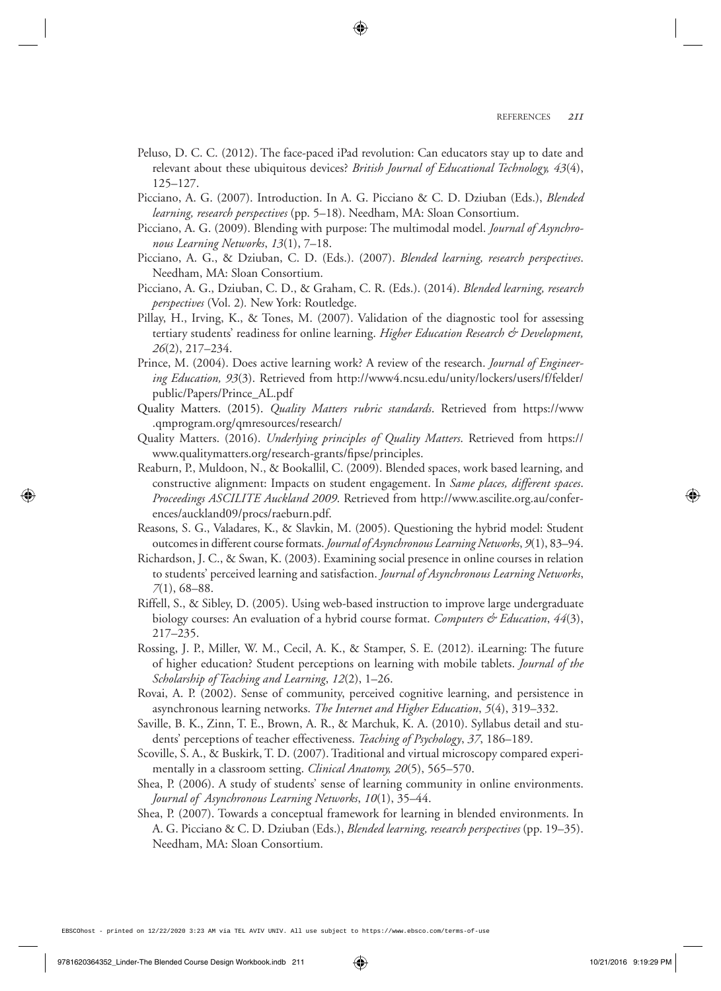- Peluso, D. C. C. (2012). The face-paced iPad revolution: Can educators stay up to date and relevant about these ubiquitous devices? *British Journal of Educational Technology, 43*(4), 125–127.
- Picciano, A. G. (2007). Introduction. In A. G. Picciano & C. D. Dziuban (Eds.), *Blended learning, research perspectives* (pp. 5–18). Needham, MA: Sloan Consortium.
- Picciano, A. G. (2009). Blending with purpose: The multimodal model. *Journal of Asynchronous Learning Networks*, *13*(1), 7–18.
- Picciano, A. G., & Dziuban, C. D. (Eds.). (2007). *Blended learning, research perspectives*. Needham, MA: Sloan Consortium.
- Picciano, A. G., Dziuban, C. D., & Graham, C. R. (Eds.). (2014). *Blended learning, research perspectives* (Vol. 2)*.* New York: Routledge.
- Pillay, H., Irving, K., & Tones, M. (2007). Validation of the diagnostic tool for assessing tertiary students' readiness for online learning. *Higher Education Research & Development, 26*(2), 217–234.
- Prince, M. (2004). Does active learning work? A review of the research. *Journal of Engineering Education, 93*(3). Retrieved from http://www4.ncsu.edu/unity/lockers/users/f/felder/ public/Papers/Prince\_AL.pdf
- Quality Matters. (2015). *Quality Matters rubric standards*. Retrieved from https://www .qmprogram.org/qmresources/research/
- Quality Matters. (2016). *Underlying principles of Quality Matters*. Retrieved from https:// www.qualitymatters.org/research-grants/fipse/principles.
- Reaburn, P., Muldoon, N., & Bookallil, C. (2009). Blended spaces, work based learning, and constructive alignment: Impacts on student engagement. In *Same places, different spaces*. *Proceedings ASCILITE Auckland 2009*. Retrieved from http://www.ascilite.org.au/conferences/auckland09/procs/raeburn.pdf.
- Reasons, S. G., Valadares, K., & Slavkin, M. (2005). Questioning the hybrid model: Student outcomes in different course formats. *Journal of Asynchronous Learning Networks*, *9*(1), 83–94.
- Richardson, J. C., & Swan, K. (2003). Examining social presence in online courses in relation to students' perceived learning and satisfaction. *Journal of Asynchronous Learning Networks*, *7*(1), 68–88.
- Riffell, S., & Sibley, D. (2005). Using web-based instruction to improve large undergraduate biology courses: An evaluation of a hybrid course format. *Computers & Education*, *44*(3), 217–235.
- Rossing, J. P., Miller, W. M., Cecil, A. K., & Stamper, S. E. (2012). iLearning: The future of higher education? Student perceptions on learning with mobile tablets. *Journal of the Scholarship of Teaching and Learning*, *12*(2), 1–26.
- Rovai, A. P. (2002). Sense of community, perceived cognitive learning, and persistence in asynchronous learning networks. *The Internet and Higher Education*, *5*(4), 319–332.
- Saville, B. K., Zinn, T. E., Brown, A. R., & Marchuk, K. A. (2010). Syllabus detail and students' perceptions of teacher effectiveness. *Teaching of Psychology*, *37*, 186–189.
- Scoville, S. A., & Buskirk, T. D. (2007). Traditional and virtual microscopy compared experimentally in a classroom setting. *Clinical Anatomy, 20*(5), 565–570.
- Shea, P. (2006). A study of students' sense of learning community in online environments. *Journal of Asynchronous Learning Networks*, *10*(1), 35–44.
- Shea, P. (2007). Towards a conceptual framework for learning in blended environments. In A. G. Picciano & C. D. Dziuban (Eds.), *Blended learning, research perspectives* (pp. 19–35). Needham, MA: Sloan Consortium.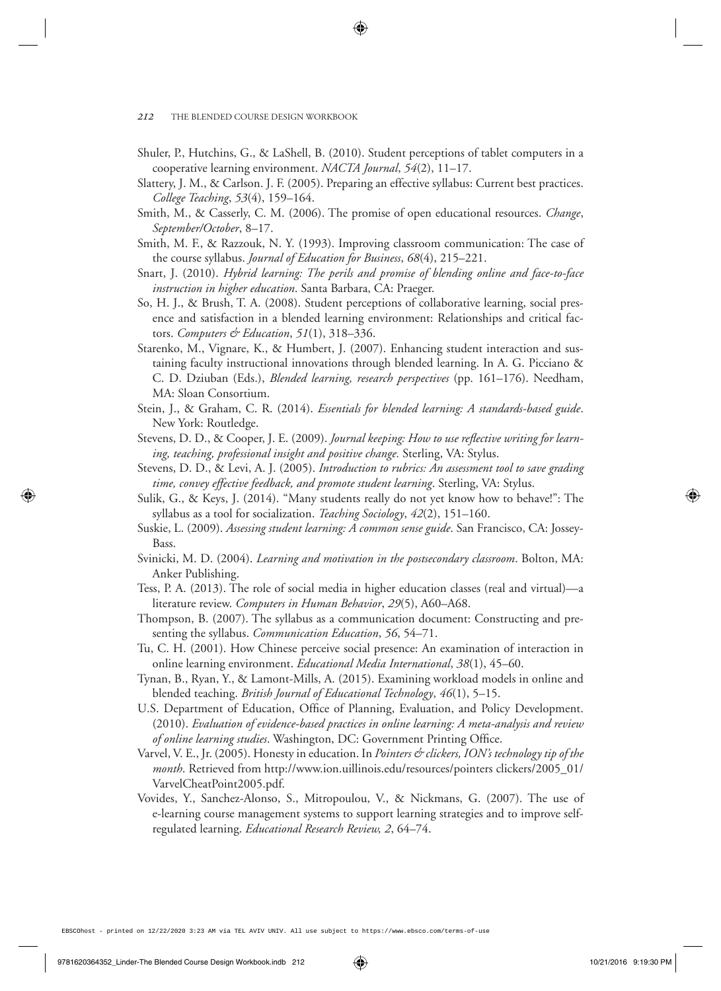- Shuler, P., Hutchins, G., & LaShell, B. (2010). Student perceptions of tablet computers in a cooperative learning environment. *NACTA Journal*, *54*(2), 11–17.
- Slattery, J. M., & Carlson. J. F. (2005). Preparing an effective syllabus: Current best practices. *College Teaching*, *53*(4), 159–164.
- Smith, M., & Casserly, C. M. (2006). The promise of open educational resources. *Change*, *September/October*, 8–17.
- Smith, M. F., & Razzouk, N. Y. (1993). Improving classroom communication: The case of the course syllabus. *Journal of Education for Business*, *68*(4), 215–221.
- Snart, J. (2010). *Hybrid learning: The perils and promise of blending online and face-to-face instruction in higher education*. Santa Barbara, CA: Praeger.
- So, H. J., & Brush, T. A. (2008). Student perceptions of collaborative learning, social presence and satisfaction in a blended learning environment: Relationships and critical factors. *Computers & Education*, *51*(1), 318–336.
- Starenko, M., Vignare, K., & Humbert, J. (2007). Enhancing student interaction and sustaining faculty instructional innovations through blended learning. In A. G. Picciano & C. D. Dziuban (Eds.), *Blended learning, research perspectives* (pp. 161–176). Needham, MA: Sloan Consortium.
- Stein, J., & Graham, C. R. (2014). *Essentials for blended learning: A standards-based guide*. New York: Routledge.
- Stevens, D. D., & Cooper, J. E. (2009). *Journal keeping: How to use reflective writing for learning, teaching, professional insight and positive change.* Sterling, VA: Stylus.
- Stevens, D. D., & Levi, A. J. (2005). *Introduction to rubrics: An assessment tool to save grading time, convey effective feedback, and promote student learning*. Sterling, VA: Stylus.
- Sulik, G., & Keys, J. (2014). "Many students really do not yet know how to behave!": The syllabus as a tool for socialization. *Teaching Sociology*, *42*(2), 151–160.
- Suskie, L. (2009). *Assessing student learning: A common sense guide*. San Francisco, CA: Jossey-Bass.
- Svinicki, M. D. (2004). *Learning and motivation in the postsecondary classroom*. Bolton, MA: Anker Publishing.
- Tess, P. A. (2013). The role of social media in higher education classes (real and virtual)—a literature review. *Computers in Human Behavior*, *29*(5), A60–A68.
- Thompson, B. (2007). The syllabus as a communication document: Constructing and presenting the syllabus. *Communication Education*, *56*, 54–71.
- Tu, C. H. (2001). How Chinese perceive social presence: An examination of interaction in online learning environment. *Educational Media International*, *38*(1), 45–60.
- Tynan, B., Ryan, Y., & Lamont-Mills, A. (2015). Examining workload models in online and blended teaching. *British Journal of Educational Technology*, *46*(1), 5–15.
- U.S. Department of Education, Office of Planning, Evaluation, and Policy Development. (2010). *Evaluation of evidence-based practices in online learning: A meta-analysis and review*  of online learning studies. Washington, DC: Government Printing Office.
- Varvel, V. E., Jr. (2005). Honesty in education. In *Pointers & clickers, ION's technology tip of the month*. Retrieved from http://www.ion.uillinois.edu/resources/pointers clickers/2005\_01/ VarvelCheatPoint2005.pdf.
- Vovides, Y., Sanchez-Alonso, S., Mitropoulou, V., & Nickmans, G. (2007). The use of e-learning course management systems to support learning strategies and to improve selfregulated learning. *Educational Research Review, 2*, 64–74.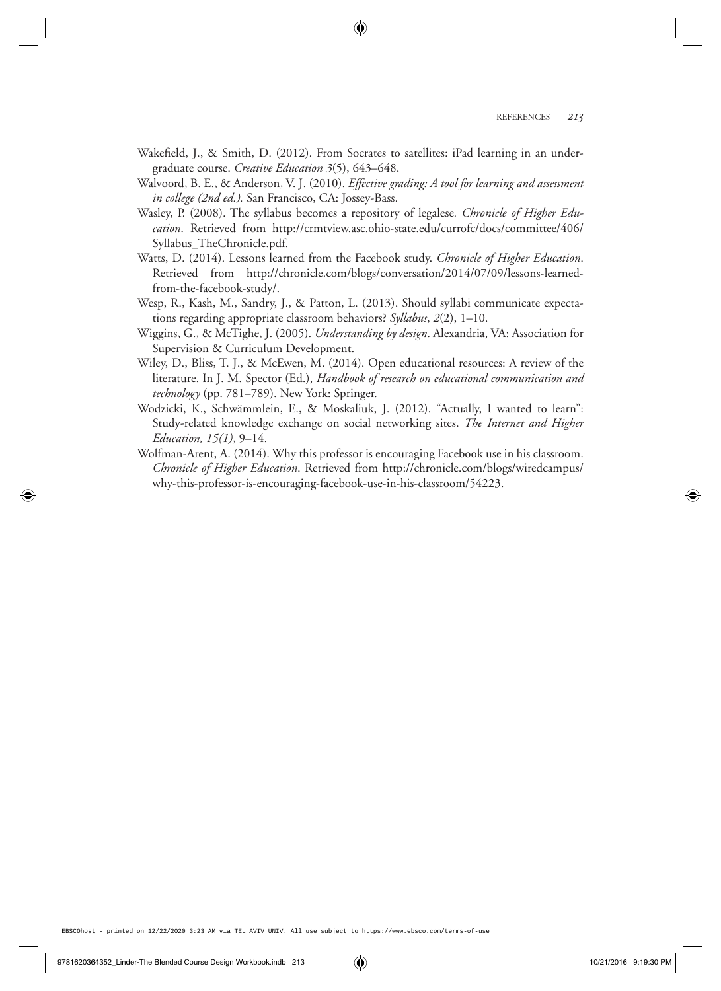- Wakefield, J., & Smith, D. (2012). From Socrates to satellites: iPad learning in an undergraduate course. *Creative Education 3*(5), 643–648.
- Walvoord, B. E., & Anderson, V. J. (2010). *Effective grading: A tool for learning and assessment in college (2nd ed.).* San Francisco, CA: Jossey-Bass.
- Wasley, P. (2008). The syllabus becomes a repository of legalese*. Chronicle of Higher Education*. Retrieved from http://crmtview.asc.ohio-state.edu/currofc/docs/committee/406/ Syllabus\_TheChronicle.pdf.
- Watts, D. (2014). Lessons learned from the Facebook study. *Chronicle of Higher Education*. Retrieved from http://chronicle.com/blogs/conversation/2014/07/09/lessons-learnedfrom-the-facebook-study/.
- Wesp, R., Kash, M., Sandry, J., & Patton, L. (2013). Should syllabi communicate expectations regarding appropriate classroom behaviors? *Syllabus*, *2*(2), 1–10.
- Wiggins, G., & McTighe, J. (2005). *Understanding by design*. Alexandria, VA: Association for Supervision & Curriculum Development.
- Wiley, D., Bliss, T. J., & McEwen, M. (2014). Open educational resources: A review of the literature. In J. M. Spector (Ed.), *Handbook of research on educational communication and technology* (pp. 781–789). New York: Springer.
- Wodzicki, K., Schwämmlein, E., & Moskaliuk, J. (2012). "Actually, I wanted to learn": Study-related knowledge exchange on social networking sites. *The Internet and Higher Education, 15(1)*, 9–14.
- Wolfman-Arent, A. (2014). Why this professor is encouraging Facebook use in his classroom. *Chronicle of Higher Education*. Retrieved from http://chronicle.com/blogs/wiredcampus/ why-this-professor-is-encouraging-facebook-use-in-his-classroom/54223.